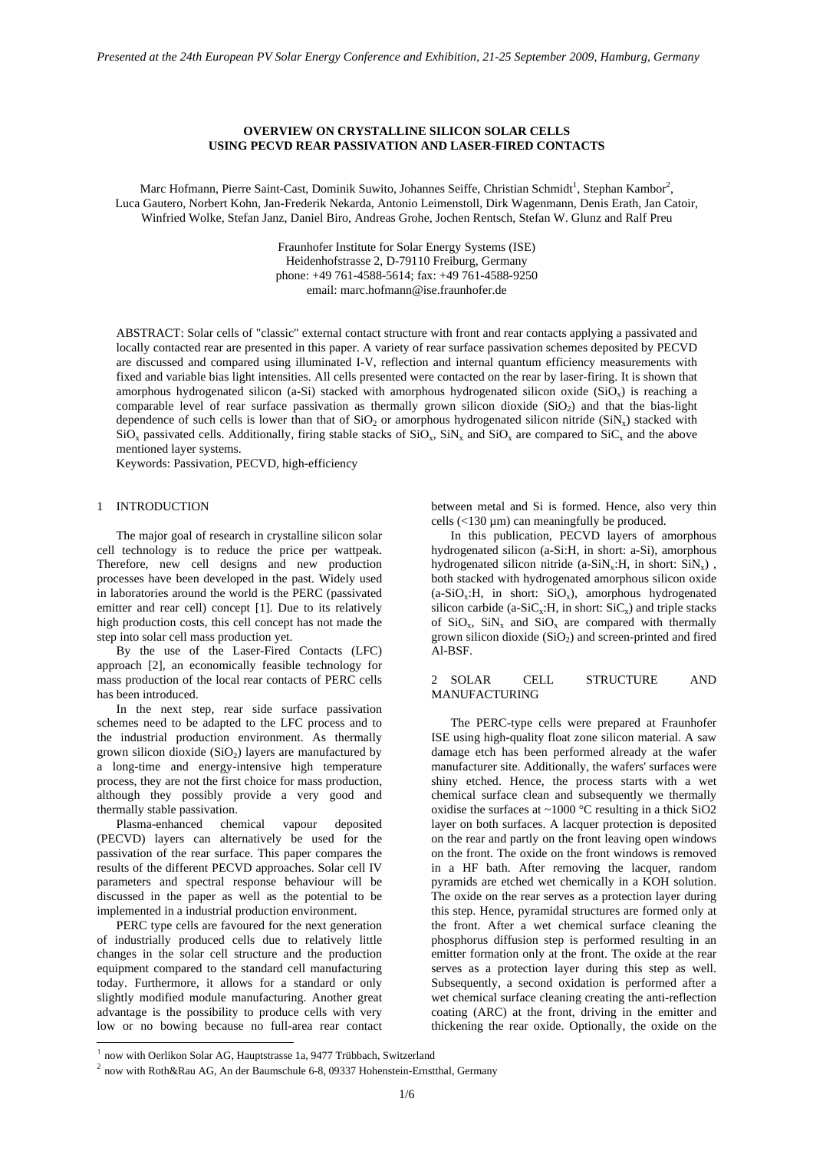# **OVERVIEW ON CRYSTALLINE SILICON SOLAR CELLS USING PECVD REAR PASSIVATION AND LASER-FIRED CONTACTS**

Marc Hofmann, Pierre Saint-Cast, Dominik Suwito, Johannes Seiffe, Christian Schmidt<sup>1</sup>, Stephan Kambor<sup>2</sup>, Luca Gautero, Norbert Kohn, Jan-Frederik Nekarda, Antonio Leimenstoll, Dirk Wagenmann, Denis Erath, Jan Catoir, Winfried Wolke, Stefan Janz, Daniel Biro, Andreas Grohe, Jochen Rentsch, Stefan W. Glunz and Ralf Preu

> Fraunhofer Institute for Solar Energy Systems (ISE) Heidenhofstrasse 2, D-79110 Freiburg, Germany phone: +49 761-4588-5614; fax: +49 761-4588-9250 email: marc.hofmann@ise.fraunhofer.de

ABSTRACT: Solar cells of "classic" external contact structure with front and rear contacts applying a passivated and locally contacted rear are presented in this paper. A variety of rear surface passivation schemes deposited by PECVD are discussed and compared using illuminated I-V, reflection and internal quantum efficiency measurements with fixed and variable bias light intensities. All cells presented were contacted on the rear by laser-firing. It is shown that amorphous hydrogenated silicon (a-Si) stacked with amorphous hydrogenated silicon oxide (SiO<sub>x</sub>) is reaching a comparable level of rear surface passivation as thermally grown silicon dioxide  $(SiO<sub>2</sub>)$  and that the bias-light dependence of such cells is lower than that of  $SiO<sub>2</sub>$  or amorphous hydrogenated silicon nitride  $(SiN<sub>x</sub>)$  stacked with  $SiO<sub>x</sub>$  passivated cells. Additionally, firing stable stacks of  $SiO<sub>x</sub>$ ,  $SiN<sub>x</sub>$  and  $SiO<sub>x</sub>$  are compared to  $SiC<sub>x</sub>$  and the above mentioned layer systems.

Keywords: Passivation, PECVD, high-efficiency

## 1 INTRODUCTION

The major goal of research in crystalline silicon solar cell technology is to reduce the price per wattpeak. Therefore, new cell designs and new production processes have been developed in the past. Widely used in laboratories around the world is the PERC (passivated emitter and rear cell) concept [1]. Due to its relatively high production costs, this cell concept has not made the step into solar cell mass production yet.

By the use of the Laser-Fired Contacts (LFC) approach [2], an economically feasible technology for mass production of the local rear contacts of PERC cells has been introduced.

In the next step, rear side surface passivation schemes need to be adapted to the LFC process and to the industrial production environment. As thermally grown silicon dioxide  $(SiO<sub>2</sub>)$  layers are manufactured by a long-time and energy-intensive high temperature process, they are not the first choice for mass production, although they possibly provide a very good and thermally stable passivation.

Plasma-enhanced chemical vapour deposited (PECVD) layers can alternatively be used for the passivation of the rear surface. This paper compares the results of the different PECVD approaches. Solar cell IV parameters and spectral response behaviour will be discussed in the paper as well as the potential to be implemented in a industrial production environment.

PERC type cells are favoured for the next generation of industrially produced cells due to relatively little changes in the solar cell structure and the production equipment compared to the standard cell manufacturing today. Furthermore, it allows for a standard or only slightly modified module manufacturing. Another great advantage is the possibility to produce cells with very low or no bowing because no full-area rear contact

 $\overline{a}$ 

between metal and Si is formed. Hence, also very thin cells  $\left($ <130  $\mu$ m) can meaningfully be produced.

In this publication, PECVD layers of amorphous hydrogenated silicon (a-Si:H, in short: a-Si), amorphous hydrogenated silicon nitride (a-SiN<sub>x</sub>:H, in short:  $\text{SiN}_x$ ), both stacked with hydrogenated amorphous silicon oxide  $(a-SiO_x:H,$  in short:  $SiO_x$ ), amorphous hydrogenated silicon carbide (a-SiC<sub>x</sub>:H, in short:  $\dot{SiC_x}$ ) and triple stacks of  $SiO_x$ ,  $SiN_x$  and  $SiO_x$  are compared with thermally grown silicon dioxide  $(SiO<sub>2</sub>)$  and screen-printed and fired Al-BSF.

## 2 SOLAR CELL STRUCTURE AND MANUFACTURING

The PERC-type cells were prepared at Fraunhofer ISE using high-quality float zone silicon material. A saw damage etch has been performed already at the wafer manufacturer site. Additionally, the wafers' surfaces were shiny etched. Hence, the process starts with a wet chemical surface clean and subsequently we thermally oxidise the surfaces at  $\sim$ 1000 °C resulting in a thick SiO2 layer on both surfaces. A lacquer protection is deposited on the rear and partly on the front leaving open windows on the front. The oxide on the front windows is removed in a HF bath. After removing the lacquer, random pyramids are etched wet chemically in a KOH solution. The oxide on the rear serves as a protection layer during this step. Hence, pyramidal structures are formed only at the front. After a wet chemical surface cleaning the phosphorus diffusion step is performed resulting in an emitter formation only at the front. The oxide at the rear serves as a protection layer during this step as well. Subsequently, a second oxidation is performed after a wet chemical surface cleaning creating the anti-reflection coating (ARC) at the front, driving in the emitter and thickening the rear oxide. Optionally, the oxide on the

<sup>1</sup> now with Oerlikon Solar AG, Hauptstrasse 1a, 9477 Trübbach, Switzerland

<sup>2</sup> now with Roth&Rau AG, An der Baumschule 6-8, 09337 Hohenstein-Ernstthal, Germany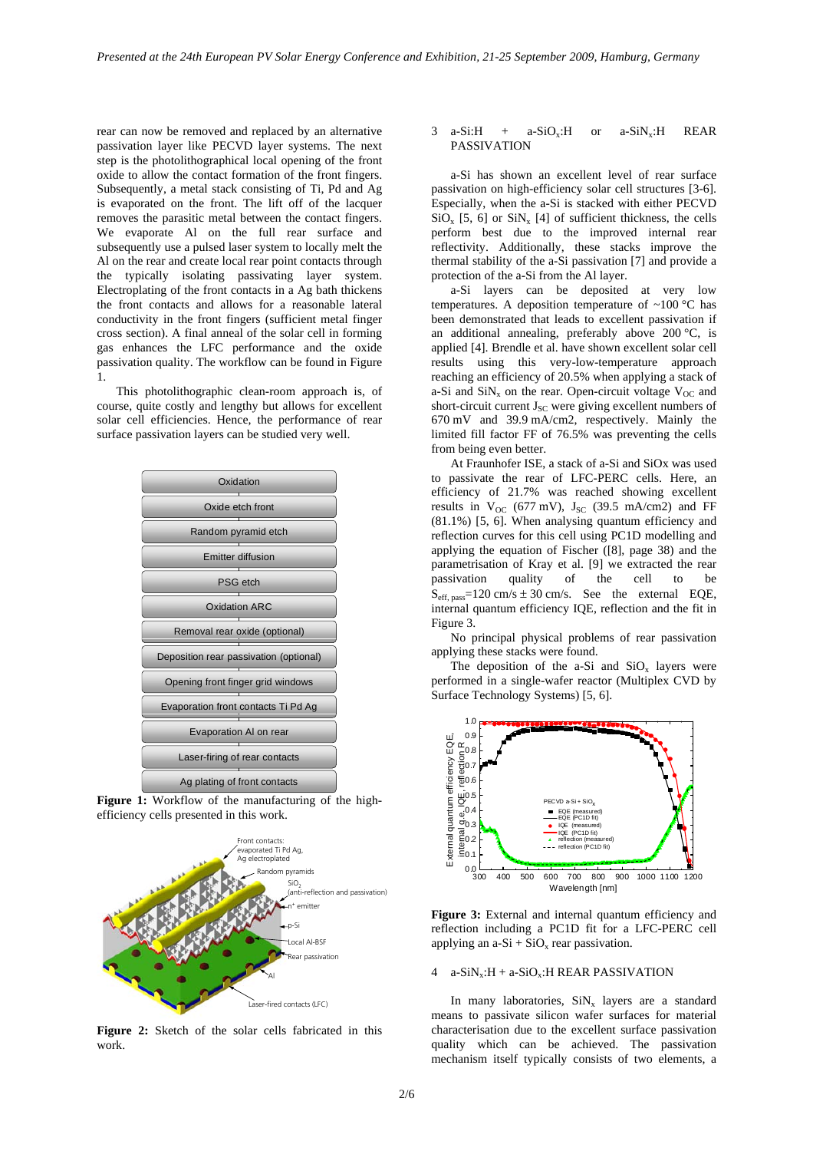rear can now be removed and replaced by an alternative passivation layer like PECVD layer systems. The next step is the photolithographical local opening of the front oxide to allow the contact formation of the front fingers. Subsequently, a metal stack consisting of Ti, Pd and Ag is evaporated on the front. The lift off of the lacquer removes the parasitic metal between the contact fingers. We evaporate Al on the full rear surface and subsequently use a pulsed laser system to locally melt the Al on the rear and create local rear point contacts through the typically isolating passivating layer system. Electroplating of the front contacts in a Ag bath thickens the front contacts and allows for a reasonable lateral conductivity in the front fingers (sufficient metal finger cross section). A final anneal of the solar cell in forming gas enhances the LFC performance and the oxide passivation quality. The workflow can be found in Figure 1.

This photolithographic clean-room approach is, of course, quite costly and lengthy but allows for excellent solar cell efficiencies. Hence, the performance of rear surface passivation layers can be studied very well.



Figure 1: Workflow of the manufacturing of the highefficiency cells presented in this work.



**Figure 2:** Sketch of the solar cells fabricated in this work.

## $3$  a-Si:H + a-SiO<sub>x</sub>:H or a-SiN<sub>x</sub>:H REAR PASSIVATION

a-Si has shown an excellent level of rear surface passivation on high-efficiency solar cell structures [3-6]. Especially, when the a-Si is stacked with either PECVD  $SiO_x$  [5, 6] or  $SiN_x$  [4] of sufficient thickness, the cells perform best due to the improved internal rear reflectivity. Additionally, these stacks improve the thermal stability of the a-Si passivation [7] and provide a protection of the a-Si from the Al layer.

a-Si layers can be deposited at very low temperatures. A deposition temperature of  $\sim 100$  °C has been demonstrated that leads to excellent passivation if an additional annealing, preferably above 200 °C, is applied [4]. Brendle et al. have shown excellent solar cell results using this very-low-temperature approach reaching an efficiency of 20.5% when applying a stack of a-Si and  $\text{SiN}_x$  on the rear. Open-circuit voltage  $\text{V}_{\text{OC}}$  and short-circuit current  $J_{SC}$  were giving excellent numbers of 670 mV and 39.9 mA/cm2, respectively. Mainly the limited fill factor FF of 76.5% was preventing the cells from being even better.

At Fraunhofer ISE, a stack of a-Si and SiOx was used to passivate the rear of LFC-PERC cells. Here, an efficiency of 21.7% was reached showing excellent results in  $V_{OC}$  (677 mV),  $J_{SC}$  (39.5 mA/cm2) and FF (81.1%) [5, 6]. When analysing quantum efficiency and reflection curves for this cell using PC1D modelling and applying the equation of Fischer ([8], page 38) and the parametrisation of Kray et al. [9] we extracted the rear passivation quality of the cell to be  $S_{\text{eff. pass}} = 120 \text{ cm/s} \pm 30 \text{ cm/s}.$  See the external EQE, internal quantum efficiency IQE, reflection and the fit in Figure 3.

No principal physical problems of rear passivation applying these stacks were found.

The deposition of the a-Si and  $SiO_x$  layers were performed in a single-wafer reactor (Multiplex CVD by Surface Technology Systems) [5, 6].



Figure 3: External and internal quantum efficiency and reflection including a PC1D fit for a LFC-PERC cell applying an  $a-Si + SiO_x$  rear passivation.

#### 4 a-SiN<sub>x</sub>: $H + a-SiO<sub>x</sub>$ :H REAR PASSIVATION

In many laboratories,  $\text{SiN}_x$  layers are a standard means to passivate silicon wafer surfaces for material characterisation due to the excellent surface passivation quality which can be achieved. The passivation mechanism itself typically consists of two elements, a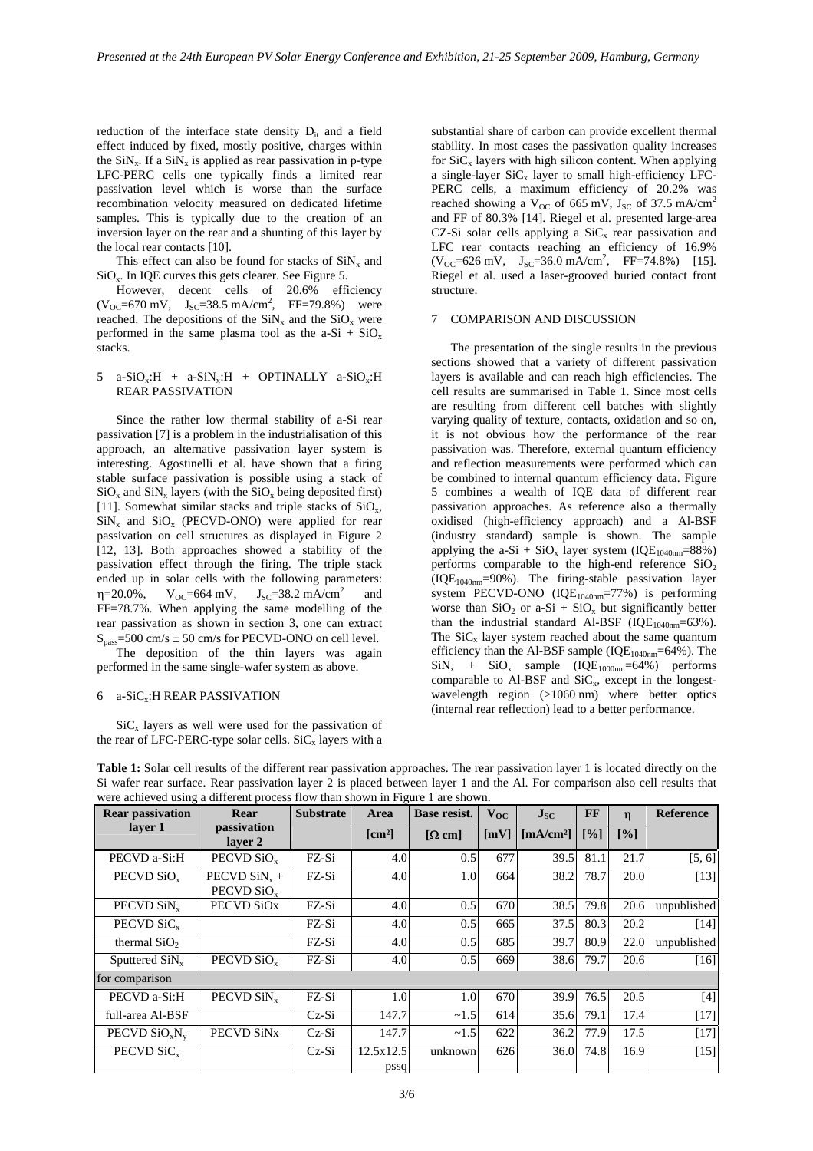reduction of the interface state density  $D_{it}$  and a field effect induced by fixed, mostly positive, charges within the  $\sin x$ . If a  $\sin x$  is applied as rear passivation in p-type LFC-PERC cells one typically finds a limited rear passivation level which is worse than the surface recombination velocity measured on dedicated lifetime samples. This is typically due to the creation of an inversion layer on the rear and a shunting of this layer by the local rear contacts [10].

This effect can also be found for stacks of  $\text{SiN}_x$  and SiOx. In IQE curves this gets clearer. See Figure 5.

However, decent cells of 20.6% efficiency  $(V_{OC} = 670 \text{ mV}, \quad J_{SC} = 38.5 \text{ mA/cm}^2, \quad FF = 79.8\%$  were reached. The depositions of the  $\text{SiN}_x$  and the  $\text{SiO}_x$  were performed in the same plasma tool as the a-Si +  $SiO_x$ stacks.

## 5 a-SiO<sub>x</sub>:H + a-SiN<sub>x</sub>:H + OPTINALLY a-SiO<sub>x</sub>:H REAR PASSIVATION

Since the rather low thermal stability of a-Si rear passivation [7] is a problem in the industrialisation of this approach, an alternative passivation layer system is interesting. Agostinelli et al. have shown that a firing stable surface passivation is possible using a stack of  $SiO<sub>x</sub>$  and  $SiN<sub>x</sub>$  layers (with the  $SiO<sub>x</sub>$  being deposited first) [11]. Somewhat similar stacks and triple stacks of  $SiO<sub>x</sub>$ ,  $SiN_x$  and  $SiO_x$  (PECVD-ONO) were applied for rear passivation on cell structures as displayed in Figure 2 [12, 13]. Both approaches showed a stability of the passivation effect through the firing. The triple stack ended up in solar cells with the following parameters:  $\eta = 20.0\%$ ,  $V_{OC} = 664$  mV,  $J_{SC} = 38.2$  mA/cm<sup>2</sup> and FF=78.7%. When applying the same modelling of the rear passivation as shown in section 3, one can extract  $S<sub>pass</sub>=500 cm/s ± 50 cm/s$  for PECVD-ONO on cell level.

The deposition of the thin layers was again performed in the same single-wafer system as above.

## 6 a-SiCx:H REAR PASSIVATION

 $SiC<sub>x</sub>$  layers as well were used for the passivation of the rear of LFC-PERC-type solar cells.  $SiC_x$  layers with a substantial share of carbon can provide excellent thermal stability. In most cases the passivation quality increases for SiC<sub>x</sub> layers with high silicon content. When applying a single-layer  $SiC_x$  layer to small high-efficiency LFC-PERC cells, a maximum efficiency of 20.2% was reached showing a V<sub>OC</sub> of 665 mV, J<sub>SC</sub> of 37.5 mA/cm<sup>2</sup> and FF of 80.3% [14]. Riegel et al. presented large-area CZ-Si solar cells applying a  $SiC<sub>x</sub>$  rear passivation and LFC rear contacts reaching an efficiency of 16.9%  $(V_{OC} = 626 \text{ mV}, \quad J_{SC} = 36.0 \text{ mA/cm}^2, \quad FF = 74.8\%$  [15]. Riegel et al. used a laser-grooved buried contact front structure.

### 7 COMPARISON AND DISCUSSION

The presentation of the single results in the previous sections showed that a variety of different passivation layers is available and can reach high efficiencies. The cell results are summarised in Table 1. Since most cells are resulting from different cell batches with slightly varying quality of texture, contacts, oxidation and so on, it is not obvious how the performance of the rear passivation was. Therefore, external quantum efficiency and reflection measurements were performed which can be combined to internal quantum efficiency data. Figure 5 combines a wealth of IQE data of different rear passivation approaches. As reference also a thermally oxidised (high-efficiency approach) and a Al-BSF (industry standard) sample is shown. The sample applying the a-Si + SiO<sub>x</sub> layer system (IQE<sub>1040nm</sub>=88%) performs comparable to the high-end reference  $SiO<sub>2</sub>$  $(IOE<sub>1040nm</sub>=90%)$ . The firing-stable passivation layer system PECVD-ONO  $(IQE_{1040nm} = 77%)$  is performing worse than  $SiO_2$  or a-Si +  $SiO_x$  but significantly better than the industrial standard Al-BSF ( $IOE<sub>1040nm</sub>=63\%$ ). The  $\text{SiC}_x$  layer system reached about the same quantum efficiency than the Al-BSF sample  $(IQE_{1040nm}=64\%)$ . The  $\text{SiN}_x$  +  $\text{SiO}_x$  sample (IQE<sub>1000nm</sub>=64%) performs comparable to Al-BSF and  $SiC<sub>x</sub>$ , except in the longestwavelength region (>1060 nm) where better optics (internal rear reflection) lead to a better performance.

| <b>Rear passivation</b>  | Rear                                               | <b>Substrate</b> | Area                              | Base resist.  | $V_{OC}$ | $J_{SC}$                      | <b>FF</b>         | $\mathbf n$ | <b>Reference</b> |
|--------------------------|----------------------------------------------------|------------------|-----------------------------------|---------------|----------|-------------------------------|-------------------|-------------|------------------|
| layer 1                  | passivation<br>laver 2                             |                  | $\lceil$ cm <sup>2</sup> $\rceil$ | $[\Omega$ cm] | [mV]     | $\left[\text{mA/cm}^2\right]$ | $\lceil\% \rceil$ | [%]         |                  |
| PECVD a-Si:H             | PECVD SiO <sub>v</sub>                             | FZ-Si            | 4.0                               | 0.5           | 677      | 39.5                          | 81.1              | 21.7        | [5, 6]           |
| PECVD SiO <sub>v</sub>   | PECVD $\text{SiN}_{\text{v}}$ +<br>PECVD $SiO_{v}$ | FZ-Si            | 4.0                               | 1.0           | 664      | 38.2                          | 78.7              | 20.0        | $[13]$           |
| PECVD SiN <sub>v</sub>   | PECVD SiO <sub>x</sub>                             | FZ-Si            | 4.0                               | 0.5           | 670      | 38.5                          | 79.8              | 20.6        | unpublished      |
| PECVD SiC <sub>y</sub>   |                                                    | FZ-Si            | 4.0                               | 0.5           | 665      | 37.5                          | 80.3              | 20.2        | $[14]$           |
| thermal $SiO2$           |                                                    | FZ-Si            | 4.0                               | 0.5           | 685      | 39.7                          | 80.9              | 22.0        | unpublished      |
| Sputtered $\text{SiN}_x$ | PECVD SiO <sub>v</sub>                             | FZ-Si            | 4.0                               | 0.5           | 669      | 38.6                          | 79.7              | 20.6        | $[16]$           |
| for comparison           |                                                    |                  |                                   |               |          |                               |                   |             |                  |
| PECVD a-Si:H             | PECVD SiN <sub>y</sub>                             | FZ-Si            | 1.0                               | 1.0           | 670      | 39.9                          | 76.5              | 20.5        | [4]              |
| full-area Al-BSF         |                                                    | $Cz-Si$          | 147.7                             | ~1.5          | 614      | 35.6                          | 79.1              | 17.4        | $[17]$           |
| PECVD $SiO_xN_v$         | PECVD SiN <sub>x</sub>                             | $Cz-Si$          | 147.7                             | ~1.5          | 622      | 36.2                          | 77.9              | 17.5        | $[17]$           |
| PECVD $\rm SiC_{v}$      |                                                    | $Cz-Si$          | 12.5x12.5<br>pssq                 | unknown       | 626      | 36.0                          | 74.8              | 16.9        | $[15]$           |

**Table 1:** Solar cell results of the different rear passivation approaches. The rear passivation layer 1 is located directly on the Si wafer rear surface. Rear passivation layer 2 is placed between layer 1 and the Al. For comparison also cell results that were achieved using a different process flow than shown in Figure 1 are shown.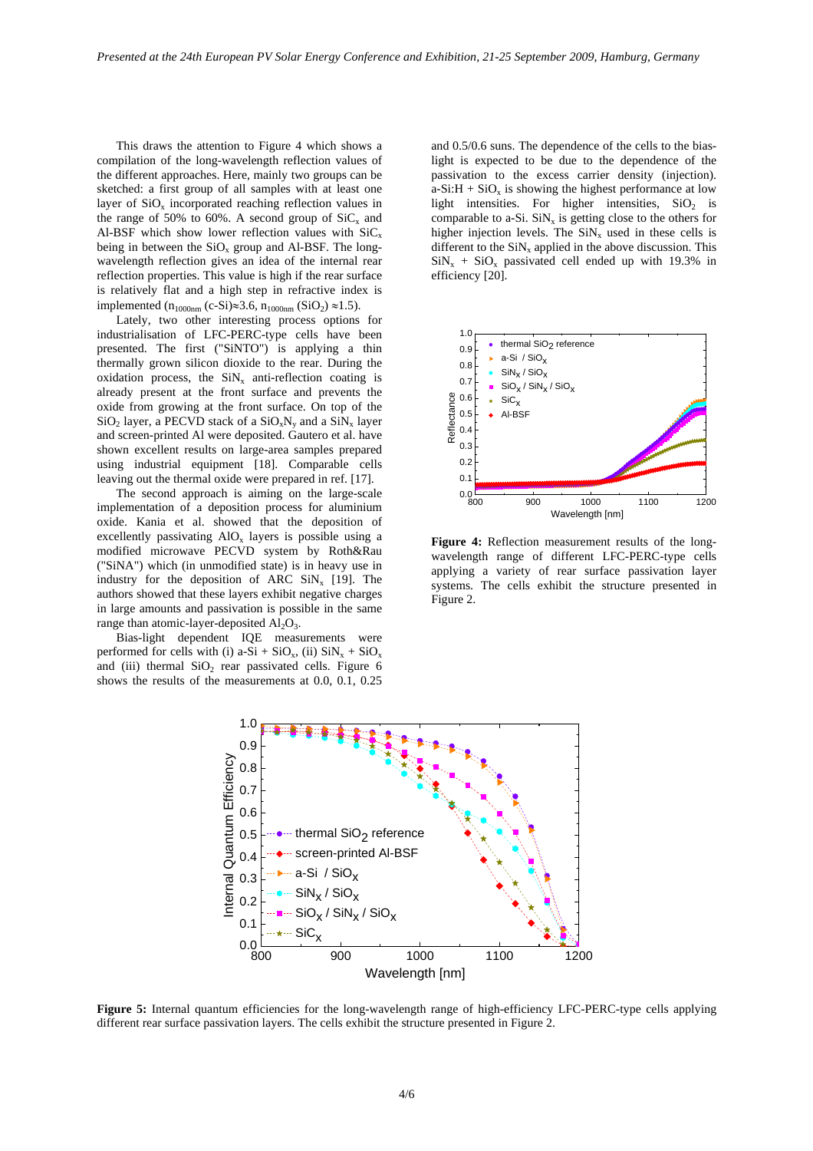This draws the attention to Figure 4 which shows a compilation of the long-wavelength reflection values of the different approaches. Here, mainly two groups can be sketched: a first group of all samples with at least one layer of  $SiO_x$  incorporated reaching reflection values in the range of 50% to 60%. A second group of  $\text{SiC}_x$  and Al-BSF which show lower reflection values with  $\text{SiC}_x$ being in between the  $SiO<sub>x</sub>$  group and Al-BSF. The longwavelength reflection gives an idea of the internal rear reflection properties. This value is high if the rear surface is relatively flat and a high step in refractive index is implemented (n<sub>1000nm</sub> (c-Si)≈3.6, n<sub>1000nm</sub> (SiO<sub>2</sub>) ≈1.5).

Lately, two other interesting process options for industrialisation of LFC-PERC-type cells have been presented. The first ("SiNTO") is applying a thin thermally grown silicon dioxide to the rear. During the oxidation process, the  $\text{SiN}_x$  anti-reflection coating is already present at the front surface and prevents the oxide from growing at the front surface. On top of the  $SiO<sub>2</sub>$  layer, a PECVD stack of a  $SiO<sub>x</sub>N<sub>y</sub>$  and a  $SiN<sub>x</sub>$  layer and screen-printed Al were deposited. Gautero et al. have shown excellent results on large-area samples prepared using industrial equipment [18]. Comparable cells leaving out the thermal oxide were prepared in ref. [17].

The second approach is aiming on the large-scale implementation of a deposition process for aluminium oxide. Kania et al. showed that the deposition of excellently passivating  $AIO<sub>x</sub>$  layers is possible using a modified microwave PECVD system by Roth&Rau ("SiNA") which (in unmodified state) is in heavy use in industry for the deposition of ARC  $\text{SiN}_x$  [19]. The authors showed that these layers exhibit negative charges in large amounts and passivation is possible in the same range than atomic-layer-deposited  $Al_2O_3$ .

Bias-light dependent IQE measurements were performed for cells with (i) a-Si + SiO<sub>x</sub>, (ii)  $\text{SiN}_x + \text{SiO}_x$ and (iii) thermal  $SiO<sub>2</sub>$  rear passivated cells. Figure 6 shows the results of the measurements at 0.0, 0.1, 0.25

and 0.5/0.6 suns. The dependence of the cells to the biaslight is expected to be due to the dependence of the passivation to the excess carrier density (injection).  $a-Si:H + SiO<sub>x</sub>$  is showing the highest performance at low light intensities. For higher intensities,  $SiO<sub>2</sub>$  is comparable to a-Si.  $\text{SiN}_x$  is getting close to the others for higher injection levels. The  $\text{SiN}_x$  used in these cells is different to the  $\sinh(x)$  applied in the above discussion. This  $\sin x + \sin x$  passivated cell ended up with 19.3% in efficiency [20].



**Figure 4:** Reflection measurement results of the longwavelength range of different LFC-PERC-type cells applying a variety of rear surface passivation layer systems. The cells exhibit the structure presented in Figure 2.



**Figure 5:** Internal quantum efficiencies for the long-wavelength range of high-efficiency LFC-PERC-type cells applying different rear surface passivation layers. The cells exhibit the structure presented in Figure 2.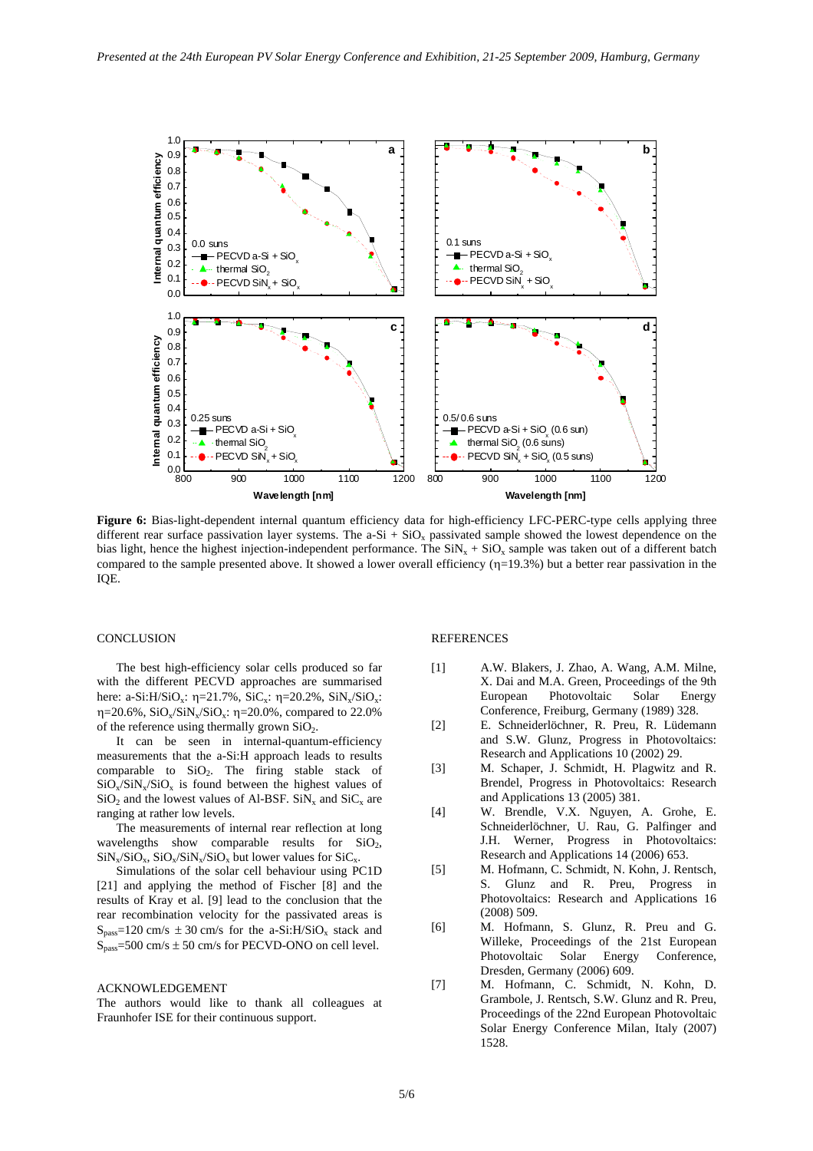

**Figure 6:** Bias-light-dependent internal quantum efficiency data for high-efficiency LFC-PERC-type cells applying three different rear surface passivation layer systems. The  $a-Si + SiO<sub>x</sub>$  passivated sample showed the lowest dependence on the bias light, hence the highest injection-independent performance. The  $\sin x + \sin x = \cos x$  sample was taken out of a different batch compared to the sample presented above. It showed a lower overall efficiency  $(\eta=19.3\%)$  but a better rear passivation in the IQE.

# **CONCLUSION**

The best high-efficiency solar cells produced so far with the different PECVD approaches are summarised here: a-Si:H/SiO<sub>x</sub>:  $\eta$ =21.7%, SiC<sub>x</sub>:  $\eta$ =20.2%, SiN<sub>x</sub>/SiO<sub>x</sub>:  $η=20.6\%$ , SiO<sub>x</sub>/SiN<sub>x</sub>/SiO<sub>x</sub>:  $η=20.0\%$ , compared to 22.0% of the reference using thermally grown  $SiO<sub>2</sub>$ .

It can be seen in internal-quantum-efficiency measurements that the a-Si:H approach leads to results comparable to  $SiO<sub>2</sub>$ . The firing stable stack of  $SiO_x/SiN_x/SiO_x$  is found between the highest values of  $SiO<sub>2</sub>$  and the lowest values of Al-BSF.  $SiN<sub>x</sub>$  and  $SiC<sub>x</sub>$  are ranging at rather low levels.

The measurements of internal rear reflection at long wavelengths show comparable results for  $SiO<sub>2</sub>$ ,  $\rm SiN_{x}/SiO_{x}$ ,  $\rm SiO_{x}/SiN_{x}/SiO_{x}$  but lower values for  $\rm SiC_{x}.$ 

Simulations of the solar cell behaviour using PC1D [21] and applying the method of Fischer [8] and the results of Kray et al. [9] lead to the conclusion that the rear recombination velocity for the passivated areas is  $S<sub>pass</sub>=120$  cm/s  $\pm$  30 cm/s for the a-Si:H/SiO<sub>x</sub> stack and  $S<sub>pass</sub>=500$  cm/s  $\pm$  50 cm/s for PECVD-ONO on cell level.

#### ACKNOWLEDGEMENT

The authors would like to thank all colleagues at Fraunhofer ISE for their continuous support.

# **REFERENCES**

- [1] A.W. Blakers, J. Zhao, A. Wang, A.M. Milne, X. Dai and M.A. Green, Proceedings of the 9th European Photovoltaic Solar Energy Conference, Freiburg, Germany (1989) 328.
- [2] E. Schneiderlöchner, R. Preu, R. Lüdemann and S.W. Glunz, Progress in Photovoltaics: Research and Applications 10 (2002) 29.
- [3] M. Schaper, J. Schmidt, H. Plagwitz and R. Brendel, Progress in Photovoltaics: Research and Applications 13 (2005) 381.
- [4] W. Brendle, V.X. Nguyen, A. Grohe, E. Schneiderlöchner, U. Rau, G. Palfinger and J.H. Werner, Progress in Photovoltaics: Research and Applications 14 (2006) 653.
- [5] M. Hofmann, C. Schmidt, N. Kohn, J. Rentsch, S. Glunz and R. Preu, Progress in Photovoltaics: Research and Applications 16 (2008) 509.
- [6] M. Hofmann, S. Glunz, R. Preu and G. Willeke, Proceedings of the 21st European Photovoltaic Solar Energy Conference, Dresden, Germany (2006) 609.
- [7] M. Hofmann, C. Schmidt, N. Kohn, D. Grambole, J. Rentsch, S.W. Glunz and R. Preu, Proceedings of the 22nd European Photovoltaic Solar Energy Conference Milan, Italy (2007) 1528.